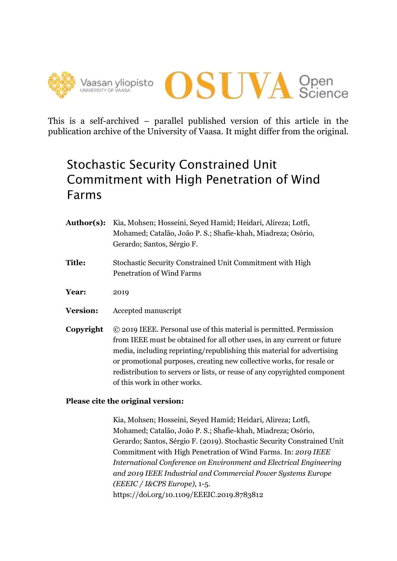



This is a self-archived – parallel published version of this article in the publication archive of the University of Vaasa. It might differ from the original.

## Stochastic Security Constrained Unit Commitment with High Penetration of Wind Farms

| Author(s):      | Kia, Mohsen; Hosseini, Seyed Hamid; Heidari, Alireza; Lotfi,<br>Mohamed; Catalão, João P. S.; Shafie-khah, Miadreza; Osório,<br>Gerardo; Santos, Sérgio F.                                                                                                                                                                                                                                                     |
|-----------------|----------------------------------------------------------------------------------------------------------------------------------------------------------------------------------------------------------------------------------------------------------------------------------------------------------------------------------------------------------------------------------------------------------------|
| <b>Title:</b>   | Stochastic Security Constrained Unit Commitment with High<br><b>Penetration of Wind Farms</b>                                                                                                                                                                                                                                                                                                                  |
| <b>Year:</b>    | 2019                                                                                                                                                                                                                                                                                                                                                                                                           |
| <b>Version:</b> | Accepted manuscript                                                                                                                                                                                                                                                                                                                                                                                            |
| Copyright       | © 2019 IEEE. Personal use of this material is permitted. Permission<br>from IEEE must be obtained for all other uses, in any current or future<br>media, including reprinting/republishing this material for advertising<br>or promotional purposes, creating new collective works, for resale or<br>redistribution to servers or lists, or reuse of any copyrighted component<br>of this work in other works. |

### **Please cite the original version:**

Kia, Mohsen; Hosseini, Seyed Hamid; Heidari, Alireza; Lotfi, Mohamed; Catalão, João P. S.; Shafie-khah, Miadreza; Osório, Gerardo; Santos, Sérgio F. (2019). Stochastic Security Constrained Unit Commitment with High Penetration of Wind Farms. In: *2019 IEEE International Conference on Environment and Electrical Engineering and 2019 IEEE Industrial and Commercial Power Systems Europe (EEEIC / I&CPS Europe),* 1-5. https://doi.org/10.1109/EEEIC.2019.8783812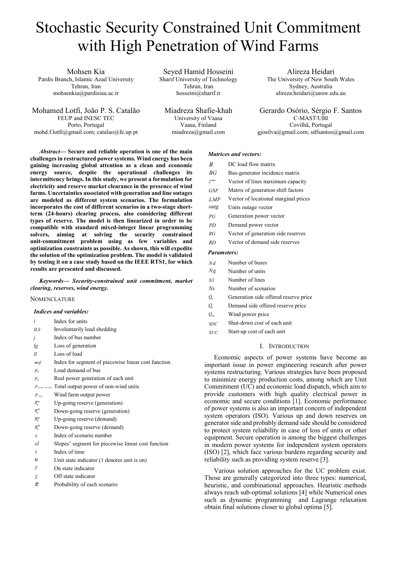# Stochastic Security Constrained Unit Commitment with High Penetration of Wind Farms

Mohsen Kia Pardis Branch, Islamic Azad University Tehran, Iran mohsenkia@pardisiau.ac.ir

Mohamed Lotfi, João P. S. Catalão FEUP and INESC TEC Porto, Portugal mohd.f.lotfi@gmail.com; catalao@fe.up.pt

Seyed Hamid Hosseini Sharif University of Technology Tehran, Iran hosseini@sharif.ir

Miadreza Shafie-khah University of Vaasa Vaasa, Finland miadreza@gmail.com

*Abstract***— Secure and reliable operation is one of the main challenges in restructured power systems. Wind energy has been gaining increasing global attention as a clean and economic energy source, despite the operational challenges its intermittency brings. In this study, we present a formulation for electricity and reserve market clearance in the presence of wind farms. Uncertainties associated with generation and line outages are modeled as different system scenarios. The formulation incorporates the cost of different scenarios in a two-stage shortterm (24-hours) clearing process, also considering different types of reserve. The model is then linearized in order to be compatible with standard mixed-integer linear programming solvers, aiming at solving the security constrained unit-commitment problem using as few variables and optimization constraints as possible. As shown, this will expedite the solution of the optimization problem. The model is validated by testing it on a case study based on the IEEE RTS1, for which results are presented and discussed.**

*Keywords— Security-constrained unit commitment, market clearing, reserves, wind energy.* 

#### **NOMENCLATURE**

#### *Indices and variables:*

- *i* Index for units
- *ILS* Involuntarily load shedding
- *j* Index of bus number *lg* Loss of generation
- *ll* Loss of load
- 
- *msf* Index for segment of piecewise linear cost function
- $p_d$  Load demand of bus
- $p_g$  **Real power generation of each unit**
- *P*<sub>non-wind</sub> Total output power of non-wind units
- *p*<sub>*wp*</sub> Wind farm output power
- $R_g^{\mu \nu}$  Up-going reserve (generation)
- $R_g^{dn}$  Down-going reserve (generation)
- $R_d^{\mu\nu}$  Up-going reserve (demand)
- $R_d^{dn}$  Down-going reserve (demand)
- *s* Index of scenario number
- *sl* Slopes' segment for piecewise linear cost function
- *t* Index of time
- *u* Unit state indicator (1 denotes unit is on)
- *y* On state indicator
- *z* Off state indicator
- $\pi$  Probability of each scenario

#### *Matrices and vectors:*

- *B* DC load flow matrix
- *BG* Bus-generator incidence matrix
- max *f* Vector of lines maximum capacity

Alireza Heidari The University of New South Wales Sydney, Australia alireza.heidari@unsw.edu.au

Gerardo Osório, Sérgio F. Santos C-MAST/UBI Covilhã, Portugal gjosilva@gmail.com; sdfsantos@gmail.com

- *GSF* Matrix of generation shift factors
- *LMP* Vector of locational marginal prices
- *outg* Units outage vector
- *PG* Generation power vector
- *PD* Demand power vector
- *RG* Vector of generation side reserves
- *RD* Vector of demand side reserves

#### *Parameters:*

- *Nd* Number of buses
- *Ng* Number of units
- *Nl* Number of lines
- *Ns* Number of scenarios
- *Qg* Generation side offered reserve price
- *Qd* Demand side offered reserve price
- *Qwp* Wind power price
- *SDC* Shut-down cost of each unit
- *SUC* Start-up cost of each unit

#### I. INTRODUCTION

Economic aspects of power systems have become an important issue in power engineering research after power systems restructuring. Various strategies have been proposed to minimize energy production costs, among which are Unit Commitment (UC) and economic load dispatch, which aim to provide customers with high quality electrical power in economic and secure conditions [1]. Economic performance of power systems is also an important concern of independent system operators (ISO). Various up and down reserves on generator side and probably demand side should be considered to protect system reliability in case of loss of units or other equipment. Secure operation is among the biggest challenges in modern power systems for independent system operators (ISO) [2], which face various burdens regarding security and reliability such as providing system reserve [3].

Various solution approaches for the UC problem exist. Those are generally categorized into three types: numerical, heuristic, and combinational approaches. Heuristic methods always reach sub-optimal solutions [4] while Numerical ones such as dynamic programming and Lagrange relaxation obtain final solutions closer to global optima [5].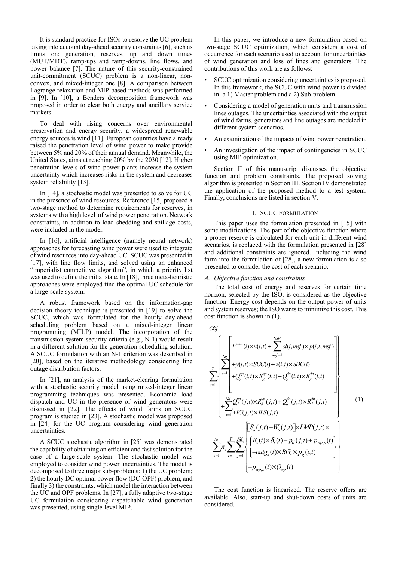It is standard practice for ISOs to resolve the UC problem taking into account day-ahead security constraints [6], such as limits on: generation, reserves, up and down times (MUT/MDT), ramp-ups and ramp-downs, line flows, and power balance [7]. The nature of this security-constrained unit-commitment (SCUC) problem is a non-linear, nonconvex, and mixed-integer one [8]. A comparison between Lagrange relaxation and MIP-based methods was performed in [9]. In [10], a Benders decomposition framework was proposed in order to clear both energy and ancillary service markets.

To deal with rising concerns over environmental preservation and energy security, a widespread renewable energy sources is wind [11]. European countries have already raised the penetration level of wind power to make provide between 5% and 20% of their annual demand. Meanwhile, the United States, aims at reaching 20% by the 2030 [12]. Higher penetration levels of wind power plants increase the system uncertainty which increases risks in the system and decreases system reliability [13].

In [14], a stochastic model was presented to solve for UC in the presence of wind resources. Reference [15] proposed a two-stage method to determine requirements for reserves, in systems with a high level of wind power penetration. Network constraints, in addition to load shedding and spillage costs, were included in the model.

In [16], artificial intelligence (namely neural network) approaches for forecasting wind power were used to integrate of wind resources into day-ahead UC. SCUC was presented in [17], with line flow limits, and solved using an enhanced "imperialist competitive algorithm", in which a priority list was used to define the initial state. In [18], three meta-heuristic approaches were employed find the optimal UC schedule for a large-scale system.

A robust framework based on the information-gap decision theory technique is presented in [19] to solve the SCUC, which was formulated for the hourly day-ahead scheduling problem based on a mixed-integer linear programming (MILP) model. The incorporation of the transmission system security criteria (e.g., N-1) would result in a different solution for the generation scheduling solution. A SCUC formulation with an N-1 criterion was described in [20], based on the iterative methodology considering line outage distribution factors.

In [21], an analysis of the market-clearing formulation with a stochastic security model using mixed-integer linear programming techniques was presented. Economic load dispatch and UC in the presence of wind generators were discussed in [22]. The effects of wind farms on SCUC program is studied in [23]. A stochastic model was proposed in [24] for the UC program considering wind generation uncertainties.

A SCUC stochastic algorithm in [25] was demonstrated the capability of obtaining an efficient and fast solution for the case of a large-scale system. The stochastic model was employed to consider wind power uncertainties. The model is decomposed to three major sub-problems: 1) the UC problem; 2) the hourly DC optimal power flow (DC-OPF) problem, and finally 3) the constraints, which model the interaction between the UC and OPF problems. In [27], a fully adaptive two-stage UC formulation considering dispatchable wind generation was presented, using single-level MIP.

In this paper, we introduce a new formulation based on two-stage SCUC optimization, which considers a cost of occurrence for each scenario used to account for uncertainties of wind generation and loss of lines and generators. The contributions of this work are as follows:

- SCUC optimization considering uncertainties is proposed. In this framework, the SCUC with wind power is divided in: a 1) Master problem and a 2) Sub-problem.
- Considering a model of generation units and transmission lines outages. The uncertainties associated with the output of wind farms, generators and line outages are modeled in different system scenarios.
- An examination of the impacts of wind power penetration.
- An investigation of the impact of contingencies in SCUC using MIP optimization.

Section II of this manuscript discusses the objective function and problem constraints. The proposed solving algorithm is presented in Section III. Section IV demonstrated the application of the proposed method to a test system. Finally, conclusions are listed in section V.

#### II. SCUC FORMULATION

This paper uses the formulation presented in [15] with some modifications. The part of the objective function where a proper reserve is calculated for each unit in different wind scenarios, is replaced with the formulation presented in [28] and additional constraints are ignored. Including the wind farm into the formulation of [28], a new formulation is also presented to consider the cost of each scenario.

#### *A. Objective function and constraints*

The total cost of energy and reserves for certain time horizon, selected by the ISO, is considered as the objective function. Energy cost depends on the output power of units and system reserves; the ISO wants to minimize this cost. This cost function is shown in (1).

*Obj* =

$$
\sum_{r=1}^{T} \sum_{i=1}^{N_{\mathcal{B}}} \sum_{i=1}^{T} \sum_{j=1}^{N_{\mathcal{B}}} \sum_{j=1}^{N_{\mathcal{B}}(i, msf) \times p(i, t, msf)} \left\{ \sum_{r=1}^{N_{\mathcal{B}}} +y(i, t) \times SUC(i) + z(i, t) \times SDC(i) + z(i, t) \times R_g^{dn}(i, t) \right\}
$$
\n
$$
+ \sum_{j=1}^{N_{\mathcal{B}}} Q_d^{up}(j, t) \times R_d^{up}(j, t) + Q_d^{dn}(j, t) \times R_d^{dn}(j, t)
$$
\n
$$
+ \sum_{s=1}^{N_{\mathcal{B}}} \sum_{r=1}^{T} \sum_{j=1}^{N_{\mathcal{B}}} \left\{ \left[ S_s(j, t) - W_s(j, t) \right] \times LMP(j, t) \times \right.
$$
\n
$$
+ \sum_{s=1}^{N_{\mathcal{B}}} \pi_s \sum_{t=1}^{T} \sum_{j=1}^{N_{\mathcal{B}}} \left\{ \left| \begin{cases} B_s(t) \times \delta_s(t) - p_d(j, t) + p_{wp,s}(t) \\ -outg_s(t) \times BG_s \times p_g(i, t) \end{cases} \right| + p_{wp,s}(t) \times Q_{wp}(t) \right\}
$$
\n(1)

The cost function is linearized. The reserve offers are available. Also, start-up and shut-down costs of units are considered.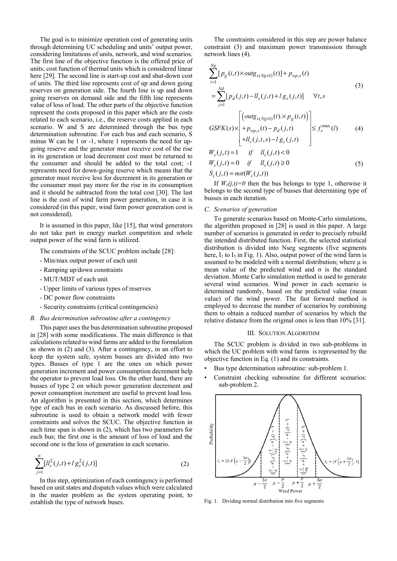The goal is to minimize operation cost of generating units through determining UC scheduling and units' output power, considering limitations of units, network, and wind scenarios. The first line of the objective function is the offered price of units; cost function of thermal units which is considered linear here [29]. The second line is start-up cost and shut-down cost of units. The third line represents cost of up and down going reserves on generation side. The fourth line is up and down going reserves on demand side and the fifth line represents value of loss of load. The other parts of the objective function represent the costs proposed in this paper which are the costs related to each scenario, i.e., the reserve costs applied in each scenario. W and S are determined through the bus type determination subroutine. For each bus and each scenario, S minus W can be 1 or -1, where 1 represents the need for upgoing reserve and the generator must receive cost of the rise in its generation or load decrement cost must be returned to the consumer and should be added to the total cost; -1 represents need for down-going reserve which means that the generator must receive less for decrement in its generation or the consumer must pay more for the rise in its consumption and it should be subtracted from the total cost [30]. The last line is the cost of wind farm power generation, in case it is considered (in this paper, wind farm power generation cost is not considered).

It is assumed in this paper, like [15], that wind generators do not take part in energy market competition and whole output power of the wind farm is utilized.

The constraints of the SCUC problem include [28]:

- Min/max output power of each unit
- Ramping up/down constraints
- MUT/MDT of each unit
- Upper limits of various types of reserves
- DC power flow constraints
- Security constraints (critical contingencies)

#### *B. Bus determination subroutine after a contingency*

This paper uses the bus determination subroutine proposed in [28] with some modifications. The main difference is that calculations related to wind farms are added to the formulation as shown in (2) and (3). After a contingency, in an effort to keep the system safe, system busses are divided into two types. Busses of type 1 are the ones on which power generation increment and power consumption decrement help the operator to prevent load loss. On the other hand, there are busses of type 2 on which power generation decrement and power consumption increment are useful to prevent load loss. An algorithm is presented in this section, which determines type of each bus in each scenario. As discussed before, this subroutine is used to obtain a network model with fewer constraints and solves the SCUC. The objective function in each time span is shown in (2), which has two parameters for each bus; the first one is the amount of loss of load and the second one is the loss of generation in each scenario.

$$
\sum_{j=1}^{n} [ll_s^2(j,t) + l g_s^2(j,t)]
$$
\n(2)

In this step, optimization of each contingency is performed based on unit states and dispatch values which were calculated in the master problem as the system operating point, to establish the type of network buses.

The constraints considered in this step are power balance constraint (3) and maximum power transmission through network lines (4).

$$
\sum_{i=1}^{Ng} [p_g(i, t) \times outg_{s(Ng \times 1)}(t)] + p_{wp,s}(t)
$$
\n
$$
= \sum_{j=1}^{Nd} [p_d(j, t) - l_s(j, t) + l g_s(j, t)] \quad \forall t, s
$$
\n
$$
GSFK(s) \times \begin{bmatrix} (outg_{s(Ng \times 1)}(t) \times p_g(i, t)) \\ + p_{wp,s}(t) - p_d(j, t) \\ + l l_s(j, t, s) - l g_s(j, t) \end{bmatrix} \leq f_s^{\max}(l)
$$
\n
$$
W_s(j, t) = 1 \quad \text{if} \quad l l_s(j, t) < 0
$$
\n
$$
W_s(j, t) = 0 \quad \text{if} \quad l l_s(j, t) \geq 0
$$
\n
$$
S_s(j, t) = not(W_s(j, t))
$$
\n(5)

If  $W_s(j,t)=0$  then the bus belongs to type 1, otherwise it belongs to the second type of busses that determining type of busses in each iteration.

#### *C. Scenarios of generation*

To generate scenarios based on Monte-Carlo simulations, the algorithm proposed in [28] is used in this paper. A large number of scenarios is generated in order to precisely rebuild the intended distributed function. First, the selected statistical distribution is divided into Nseg segments (five segments here,  $I_1$  to  $I_5$  in Fig. 1). Also, output power of the wind farm is assumed to be modeled with a normal distribution; where  $\mu$  is mean value of the predicted wind and  $\sigma$  is the standard deviation. Monte Carlo simulation method is used to generate several wind scenarios. Wind power in each scenario is determined randomly, based on the predicted value (mean value) of the wind power. The fast forward method is employed to decrease the number of scenarios by combining them to obtain a reduced number of scenarios by which the relative distance from the original ones is less than 10% [31].

#### III. SOLUTION ALGORITHM

The SCUC problem is divided in two sub-problems in which the UC problem with wind farms is represented by the objective function in Eq. (1) and its constraints.

- Bus type determination subroutine: sub-problem 1.
- Constraint checking subroutine for different scenarios: sub-problem 2.



Fig. 1. Dividing normal distribution into five segments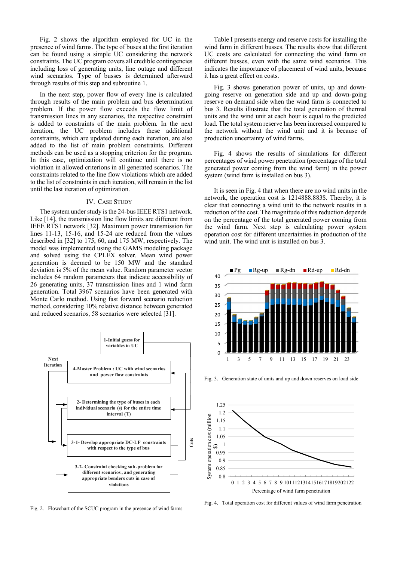Fig. 2 shows the algorithm employed for UC in the presence of wind farms. The type of buses at the first iteration can be found using a simple UC considering the network constraints. The UC program covers all credible contingencies including loss of generating units, line outage and different wind scenarios. Type of busses is determined afterward through results of this step and subroutine 1.

In the next step, power flow of every line is calculated through results of the main problem and bus determination problem. If the power flow exceeds the flow limit of transmission lines in any scenarios, the respective constraint is added to constraints of the main problem. In the next iteration, the UC problem includes these additional constraints, which are updated during each iteration, are also added to the list of main problem constraints. Different methods can be used as a stopping criterion for the program. In this case, optimization will continue until there is no violation in allowed criterions in all generated scenarios. The constraints related to the line flow violations which are added to the list of constraints in each iteration, will remain in the list until the last iteration of optimization.

#### IV. CASE STUDY

The system under study is the 24-bus IEEE RTS1 network. Like [14], the transmission line flow limits are different from IEEE RTS1 network [32]. Maximum power transmission for lines 11-13, 15-16, and 15-24 are reduced from the values described in [32] to 175, 60, and 175 MW, respectively. The model was implemented using the GAMS modeling package and solved using the CPLEX solver. Mean wind power generation is deemed to be 150 MW and the standard deviation is 5% of the mean value. Random parameter vector includes 64 random parameters that indicate accessibility of 26 generating units, 37 transmission lines and 1 wind farm generation. Total 3967 scenarios have been generated with Monte Carlo method. Using fast forward scenario reduction method, considering 10% relative distance between generated and reduced scenarios, 58 scenarios were selected [31].



Fig. 2. Flowchart of the SCUC program in the presence of wind farms

Table I presents energy and reserve costs for installing the wind farm in different busses. The results show that different UC costs are calculated for connecting the wind farm on different busses, even with the same wind scenarios. This indicates the importance of placement of wind units, because it has a great effect on costs.

Fig. 3 shows generation power of units, up and downgoing reserve on generation side and up and down-going reserve on demand side when the wind farm is connected to bus 3. Results illustrate that the total generation of thermal units and the wind unit at each hour is equal to the predicted load. The total system reserve has been increased compared to the network without the wind unit and it is because of production uncertainty of wind farms.

Fig. 4 shows the results of simulations for different percentages of wind power penetration (percentage of the total generated power coming from the wind farm) in the power system (wind farm is installed on bus 3).

It is seen in Fig. 4 that when there are no wind units in the network, the operation cost is 1214888.883\$. Thereby, it is clear that connecting a wind unit to the network results in a reduction of the cost. The magnitude of this reduction depends on the percentage of the total generated power coming from the wind farm. Next step is calculating power system operation cost for different uncertainties in production of the wind unit. The wind unit is installed on bus 3.



Fig. 3. Generation state of units and up and down reserves on load side



Fig. 4. Total operation cost for different values of wind farm penetration